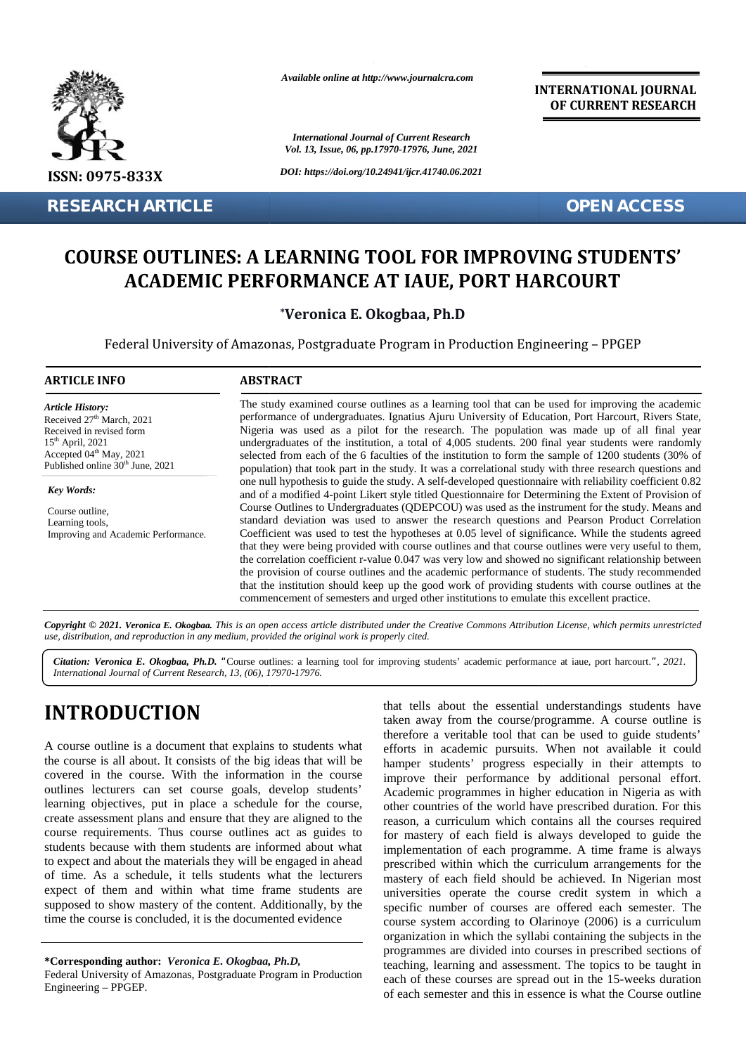

*Available online at http://www.journalcra.com*

*International Journal of Current Research Vol. 13, Issue, 06, pp.17970-17976, June, 2021* **INTERNATIONAL JOURNAL OF CURRENT RESEARCH**

# **COURSE OUTLINES: A LEARNING TOOL FOR IMPROVING STUDENTS' TOOL STUDENTS'PERFORMANCE AT IAUE, ACADEMIC PERFORMANCE AT IAUE, PORT HARCOURT**

## **\*Veronica E. Okogbaa, Ph.D Ph.D**

|                                                                                                                                                                                                                                                                                                                                                                                                                                                                                                                                                                                                                                                                                                                                                                                                                                                                                    |                 | <b>International Journal of Current Research</b><br>Vol. 13, Issue, 06, pp.17970-17976, June, 2021                                                                                                                                                                                                                                                                                                                                                                                                                                                                                                                                                                                                                                                                                                                                                                                                                                                                                                                                                                                                                                                                                                                                                                                                                                                                                                                                                                                                                                                                                                                                                                                           |
|------------------------------------------------------------------------------------------------------------------------------------------------------------------------------------------------------------------------------------------------------------------------------------------------------------------------------------------------------------------------------------------------------------------------------------------------------------------------------------------------------------------------------------------------------------------------------------------------------------------------------------------------------------------------------------------------------------------------------------------------------------------------------------------------------------------------------------------------------------------------------------|-----------------|----------------------------------------------------------------------------------------------------------------------------------------------------------------------------------------------------------------------------------------------------------------------------------------------------------------------------------------------------------------------------------------------------------------------------------------------------------------------------------------------------------------------------------------------------------------------------------------------------------------------------------------------------------------------------------------------------------------------------------------------------------------------------------------------------------------------------------------------------------------------------------------------------------------------------------------------------------------------------------------------------------------------------------------------------------------------------------------------------------------------------------------------------------------------------------------------------------------------------------------------------------------------------------------------------------------------------------------------------------------------------------------------------------------------------------------------------------------------------------------------------------------------------------------------------------------------------------------------------------------------------------------------------------------------------------------------|
| <b>ISSN: 0975-833X</b>                                                                                                                                                                                                                                                                                                                                                                                                                                                                                                                                                                                                                                                                                                                                                                                                                                                             |                 | DOI: https://doi.org/10.24941/ijcr.41740.06.2021                                                                                                                                                                                                                                                                                                                                                                                                                                                                                                                                                                                                                                                                                                                                                                                                                                                                                                                                                                                                                                                                                                                                                                                                                                                                                                                                                                                                                                                                                                                                                                                                                                             |
| <b>RESEARCH ARTICLE</b>                                                                                                                                                                                                                                                                                                                                                                                                                                                                                                                                                                                                                                                                                                                                                                                                                                                            |                 | <b>OPEN ACCESS</b>                                                                                                                                                                                                                                                                                                                                                                                                                                                                                                                                                                                                                                                                                                                                                                                                                                                                                                                                                                                                                                                                                                                                                                                                                                                                                                                                                                                                                                                                                                                                                                                                                                                                           |
|                                                                                                                                                                                                                                                                                                                                                                                                                                                                                                                                                                                                                                                                                                                                                                                                                                                                                    |                 | <b>COURSE OUTLINES: A LEARNING TOOL FOR IMPROVING STUDENTS'</b><br><b>ACADEMIC PERFORMANCE AT IAUE, PORT HARCOURT</b><br>*Veronica E. Okogbaa, Ph.D                                                                                                                                                                                                                                                                                                                                                                                                                                                                                                                                                                                                                                                                                                                                                                                                                                                                                                                                                                                                                                                                                                                                                                                                                                                                                                                                                                                                                                                                                                                                          |
|                                                                                                                                                                                                                                                                                                                                                                                                                                                                                                                                                                                                                                                                                                                                                                                                                                                                                    |                 | Federal University of Amazonas, Postgraduate Program in Production Engineering - PPGEP                                                                                                                                                                                                                                                                                                                                                                                                                                                                                                                                                                                                                                                                                                                                                                                                                                                                                                                                                                                                                                                                                                                                                                                                                                                                                                                                                                                                                                                                                                                                                                                                       |
| <b>ARTICLE INFO</b>                                                                                                                                                                                                                                                                                                                                                                                                                                                                                                                                                                                                                                                                                                                                                                                                                                                                | <b>ABSTRACT</b> |                                                                                                                                                                                                                                                                                                                                                                                                                                                                                                                                                                                                                                                                                                                                                                                                                                                                                                                                                                                                                                                                                                                                                                                                                                                                                                                                                                                                                                                                                                                                                                                                                                                                                              |
| <b>Article History:</b><br>Received 27 <sup>th</sup> March, 2021<br>Received in revised form<br>$15th$ April, 2021<br>Accepted 04 <sup>th</sup> May, 2021<br>Published online 30 <sup>th</sup> June, 2021<br><b>Key Words:</b><br>Course outline,<br>Learning tools,<br>Improving and Academic Performance.                                                                                                                                                                                                                                                                                                                                                                                                                                                                                                                                                                        |                 | The study examined course outlines as a learning tool that can be used for improving the academic<br>performance of undergraduates. Ignatius Ajuru University of Education, Port Harcourt, Rivers State,<br>Nigeria was used as a pilot for the research. The population was made up of all final year<br>undergraduates of the institution, a total of 4,005 students. 200 final year students were randomly<br>selected from each of the 6 faculties of the institution to form the sample of 1200 students (30% of<br>population) that took part in the study. It was a correlational study with three research questions and<br>one null hypothesis to guide the study. A self-developed questionnaire with reliability coefficient 0.82<br>and of a modified 4-point Likert style titled Questionnaire for Determining the Extent of Provision of<br>Course Outlines to Undergraduates (QDEPCOU) was used as the instrument for the study. Means and<br>standard deviation was used to answer the research questions and Pearson Product Correlation<br>Coefficient was used to test the hypotheses at 0.05 level of significance. While the students agreed<br>that they were being provided with course outlines and that course outlines were very useful to them,<br>the correlation coefficient r-value 0.047 was very low and showed no significant relationship between<br>the provision of course outlines and the academic performance of students. The study recommended<br>that the institution should keep up the good work of providing students with course outlines at the<br>commencement of semesters and urged other institutions to emulate this excellent practice. |
| use, distribution, and reproduction in any medium, provided the original work is properly cited.                                                                                                                                                                                                                                                                                                                                                                                                                                                                                                                                                                                                                                                                                                                                                                                   |                 | Copyright © 2021. Veronica E. Okogbaa. This is an open access article distributed under the Creative Commons Attribution License, which permits unrestricted                                                                                                                                                                                                                                                                                                                                                                                                                                                                                                                                                                                                                                                                                                                                                                                                                                                                                                                                                                                                                                                                                                                                                                                                                                                                                                                                                                                                                                                                                                                                 |
| International Journal of Current Research, 13, (06), 17970-17976.                                                                                                                                                                                                                                                                                                                                                                                                                                                                                                                                                                                                                                                                                                                                                                                                                  |                 | Citation: Veronica E. Okogbaa, Ph.D. "Course outlines: a learning tool for improving students' academic performance at iaue, port harcourt.", 2021.                                                                                                                                                                                                                                                                                                                                                                                                                                                                                                                                                                                                                                                                                                                                                                                                                                                                                                                                                                                                                                                                                                                                                                                                                                                                                                                                                                                                                                                                                                                                          |
| <b>INTRODUCTION</b><br>A course outline is a document that explains to students what<br>the course is all about. It consists of the big ideas that will be<br>covered in the course. With the information in the course<br>outlines lecturers can set course goals, develop students'<br>learning objectives, put in place a schedule for the course,<br>create assessment plans and ensure that they are aligned to the<br>course requirements. Thus course outlines act as guides to<br>students because with them students are informed about what<br>to expect and about the materials they will be engaged in ahead<br>of time. As a schedule, it tells students what the lecturers<br>expect of them and within what time frame students are<br>supposed to show mastery of the content. Additionally, by the<br>time the course is concluded, it is the documented evidence |                 | that tells about the essential understandings students have<br>taken away from the course/programme. A course outline is<br>therefore a veritable tool that can be used to guide students'<br>efforts in academic pursuits. When not available it could<br>hamper students' progress especially in their attempts to<br>improve their performance by additional personal effort.<br>Academic programmes in higher education in Nigeria as with<br>other countries of the world have prescribed duration. For this<br>reason, a curriculum which contains all the courses required<br>for mastery of each field is always developed to guide the<br>implementation of each programme. A time frame is always<br>prescribed within which the curriculum arrangements for the<br>mastery of each field should be achieved. In Nigerian most<br>universities operate the course credit system in which a<br>specific number of courses are offered each semester. The<br>course system according to Olarinoye (2006) is a curriculum<br>organization in which the syllabi containing the subjects in the                                                                                                                                                                                                                                                                                                                                                                                                                                                                                                                                                                                         |
| *Corresponding author: Veronica E. Okogbaa, Ph.D,<br>Federal University of Amazonas, Postgraduate Program in Production<br>Engineering - PPGEP.                                                                                                                                                                                                                                                                                                                                                                                                                                                                                                                                                                                                                                                                                                                                    |                 | programmes are divided into courses in prescribed sections of<br>teaching, learning and assessment. The topics to be taught in<br>each of these courses are spread out in the 15-weeks duration                                                                                                                                                                                                                                                                                                                                                                                                                                                                                                                                                                                                                                                                                                                                                                                                                                                                                                                                                                                                                                                                                                                                                                                                                                                                                                                                                                                                                                                                                              |

# **INTRODUCTION INTRODUCTION**

**<sup>\*</sup>Corresponding author:** *Veronica E. Okogbaa, Ph.D,* **\*Corresponding** *Ph.D,*

Federal University of Amazonas, Postgraduate Program in Production Engineering – PPGEP.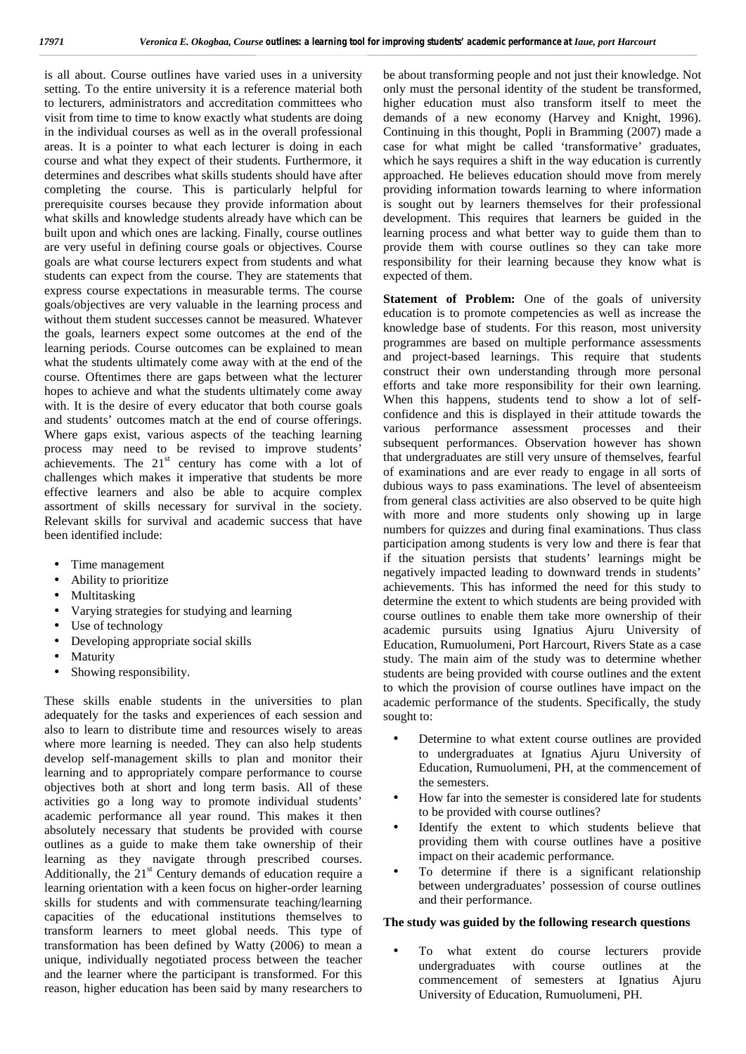is all about. Course outlines have varied uses in a university setting. To the entire university it is a reference material both to lecturers, administrators and accreditation committees who visit from time to time to know exactly what students are doing in the individual courses as well as in the overall professional areas. It is a pointer to what each lecturer is doing in each course and what they expect of their students. Furthermore, it determines and describes what skills students should have after completing the course. This is particularly helpful for prerequisite courses because they provide information about what skills and knowledge students already have which can be built upon and which ones are lacking. Finally, course outlines are very useful in defining course goals or objectives. Course goals are what course lecturers expect from students and what students can expect from the course. They are statements that express course expectations in measurable terms. The course goals/objectives are very valuable in the learning process and without them student successes cannot be measured. Whatever the goals, learners expect some outcomes at the end of the learning periods. Course outcomes can be explained to mean what the students ultimately come away with at the end of the course. Oftentimes there are gaps between what the lecturer hopes to achieve and what the students ultimately come away with. It is the desire of every educator that both course goals and students' outcomes match at the end of course offerings. Where gaps exist, various aspects of the teaching learning process may need to be revised to improve students' achievements. The  $21<sup>st</sup>$  century has come with a lot of challenges which makes it imperative that students be more effective learners and also be able to acquire complex assortment of skills necessary for survival in the society. Relevant skills for survival and academic success that have been identified include:

- Time management
- Ability to prioritize
- Multitasking
- Varying strategies for studying and learning
- Use of technology
- Developing appropriate social skills
- Maturity
- Showing responsibility.

These skills enable students in the universities to plan adequately for the tasks and experiences of each session and also to learn to distribute time and resources wisely to areas where more learning is needed. They can also help students develop self-management skills to plan and monitor their learning and to appropriately compare performance to course objectives both at short and long term basis. All of these activities go a long way to promote individual students' academic performance all year round. This makes it then absolutely necessary that students be provided with course outlines as a guide to make them take ownership of their learning as they navigate through prescribed courses. Additionally, the  $21<sup>st</sup>$  Century demands of education require a learning orientation with a keen focus on higher-order learning skills for students and with commensurate teaching/learning capacities of the educational institutions themselves to transform learners to meet global needs. This type of transformation has been defined by Watty (2006) to mean a unique, individually negotiated process between the teacher and the learner where the participant is transformed. For this reason, higher education has been said by many researchers to

be about transforming people and not just their knowledge. Not only must the personal identity of the student be transformed, higher education must also transform itself to meet the demands of a new economy (Harvey and Knight, 1996). Continuing in this thought, Popli in Bramming (2007) made a case for what might be called 'transformative' graduates, which he says requires a shift in the way education is currently approached. He believes education should move from merely providing information towards learning to where information is sought out by learners themselves for their professional development. This requires that learners be guided in the learning process and what better way to guide them than to provide them with course outlines so they can take more responsibility for their learning because they know what is expected of them.

**Statement of Problem:** One of the goals of university education is to promote competencies as well as increase the knowledge base of students. For this reason, most university programmes are based on multiple performance assessments and project-based learnings. This require that students construct their own understanding through more personal efforts and take more responsibility for their own learning. When this happens, students tend to show a lot of self confidence and this is displayed in their attitude towards the various performance assessment processes and their subsequent performances. Observation however has shown that undergraduates are still very unsure of themselves, fearful of examinations and are ever ready to engage in all sorts of dubious ways to pass examinations. The level of absenteeism from general class activities are also observed to be quite high with more and more students only showing up in large numbers for quizzes and during final examinations. Thus class participation among students is very low and there is fear that if the situation persists that students' learnings might be negatively impacted leading to downward trends in students' achievements. This has informed the need for this study to determine the extent to which students are being provided with course outlines to enable them take more ownership of their academic pursuits using Ignatius Ajuru University of Education, Rumuolumeni, Port Harcourt, Rivers State as a case study. The main aim of the study was to determine whether students are being provided with course outlines and the extent to which the provision of course outlines have impact on the academic performance of the students. Specifically, the study sought to:

- Determine to what extent course outlines are provided to undergraduates at Ignatius Ajuru University of Education, Rumuolumeni, PH, at the commencement of the semesters.
- How far into the semester is considered late for students to be provided with course outlines?
- Identify the extent to which students believe that providing them with course outlines have a positive impact on their academic performance.
- To determine if there is a significant relationship between undergraduates' possession of course outlines and their performance.

#### **The study was guided by the following research questions**

 To what extent do course lecturers provide undergraduates with course outlines at the commencement of semesters at Ignatius Ajuru University of Education, Rumuolumeni, PH.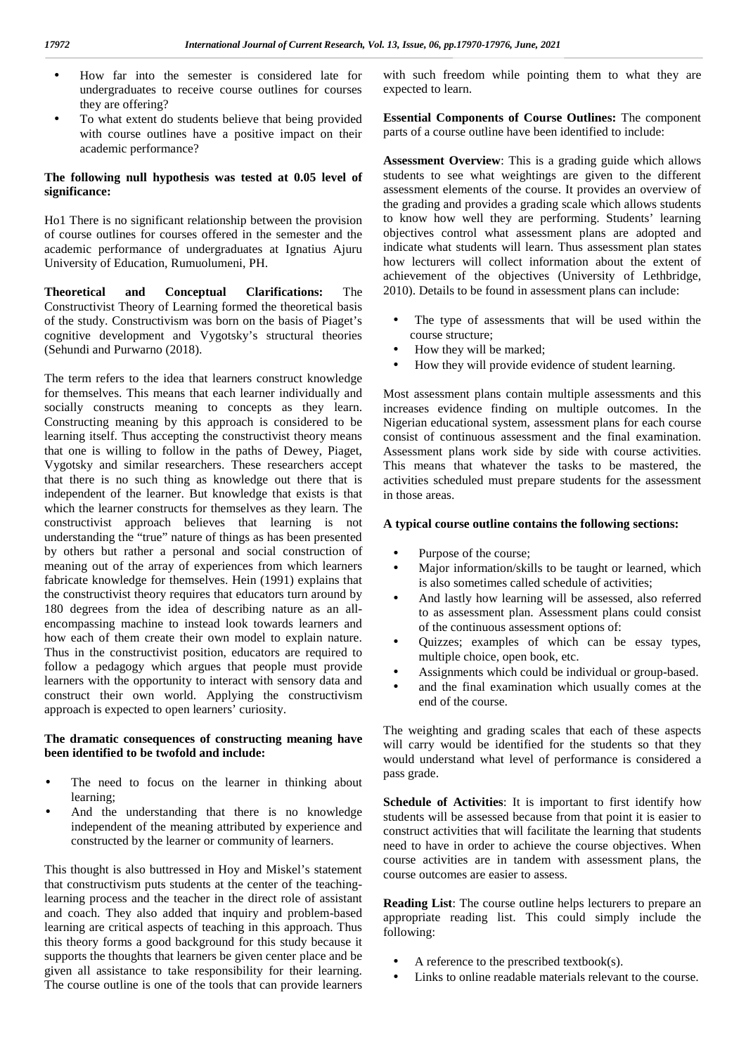- How far into the semester is considered late for undergraduates to receive course outlines for courses they are offering?
- To what extent do students believe that being provided with course outlines have a positive impact on their academic performance?

#### **The following null hypothesis was tested at 0.05 level of significance:**

Ho1 There is no significant relationship between the provision of course outlines for courses offered in the semester and the academic performance of undergraduates at Ignatius Ajuru University of Education, Rumuolumeni, PH.

**Theoretical and Conceptual Clarifications:** The Constructivist Theory of Learning formed the theoretical basis of the study. Constructivism was born on the basis of Piaget's cognitive development and Vygotsky's structural theories (Sehundi and Purwarno (2018).

The term refers to the idea that learners construct knowledge for themselves. This means that each learner individually and socially constructs meaning to concepts as they learn. Constructing meaning by this approach is considered to be learning itself. Thus accepting the constructivist theory means that one is willing to follow in the paths of Dewey, Piaget, Vygotsky and similar researchers. These researchers accept that there is no such thing as knowledge out there that is independent of the learner. But knowledge that exists is that which the learner constructs for themselves as they learn. The constructivist approach believes that learning is not understanding the "true" nature of things as has been presented by others but rather a personal and social construction of meaning out of the array of experiences from which learners fabricate knowledge for themselves. Hein (1991) explains that the constructivist theory requires that educators turn around by 180 degrees from the idea of describing nature as an all encompassing machine to instead look towards learners and how each of them create their own model to explain nature. Thus in the constructivist position, educators are required to follow a pedagogy which argues that people must provide learners with the opportunity to interact with sensory data and construct their own world. Applying the constructivism approach is expected to open learners' curiosity.

## **The dramatic consequences of constructing meaning have been identified to be twofold and include:**

- The need to focus on the learner in thinking about learning;
- And the understanding that there is no knowledge independent of the meaning attributed by experience and constructed by the learner or community of learners.

This thought is also buttressed in Hoy and Miskel's statement that constructivism puts students at the center of the teachinglearning process and the teacher in the direct role of assistant and coach. They also added that inquiry and problem-based learning are critical aspects of teaching in this approach. Thus this theory forms a good background for this study because it supports the thoughts that learners be given center place and be given all assistance to take responsibility for their learning. The course outline is one of the tools that can provide learners

with such freedom while pointing them to what they are expected to learn.

**Essential Components of Course Outlines:** The component parts of a course outline have been identified to include:

**Assessment Overview**: This is a grading guide which allows students to see what weightings are given to the different assessment elements of the course. It provides an overview of the grading and provides a grading scale which allows students to know how well they are performing. Students' learning objectives control what assessment plans are adopted and indicate what students will learn. Thus assessment plan states how lecturers will collect information about the extent of achievement of the objectives (University of Lethbridge, 2010). Details to be found in assessment plans can include:

- The type of assessments that will be used within the course structure;
- How they will be marked;
- How they will provide evidence of student learning.

Most assessment plans contain multiple assessments and this increases evidence finding on multiple outcomes. In the Nigerian educational system, assessment plans for each course consist of continuous assessment and the final examination. Assessment plans work side by side with course activities. This means that whatever the tasks to be mastered, the activities scheduled must prepare students for the assessment in those areas.

#### **A typical course outline contains the following sections:**

- Purpose of the course;
- Major information/skills to be taught or learned, which is also sometimes called schedule of activities;
- And lastly how learning will be assessed, also referred to as assessment plan. Assessment plans could consist of the continuous assessment options of:
- Quizzes; examples of which can be essay types, multiple choice, open book, etc.
- Assignments which could be individual or group-based.
- and the final examination which usually comes at the end of the course.

The weighting and grading scales that each of these aspects will carry would be identified for the students so that they would understand what level of performance is considered a pass grade.

**Schedule of Activities**: It is important to first identify how students will be assessed because from that point it is easier to construct activities that will facilitate the learning that students need to have in order to achieve the course objectives. When course activities are in tandem with assessment plans, the course outcomes are easier to assess.

**Reading List**: The course outline helps lecturers to prepare an appropriate reading list. This could simply include the following:

- A reference to the prescribed textbook(s).
- Links to online readable materials relevant to the course.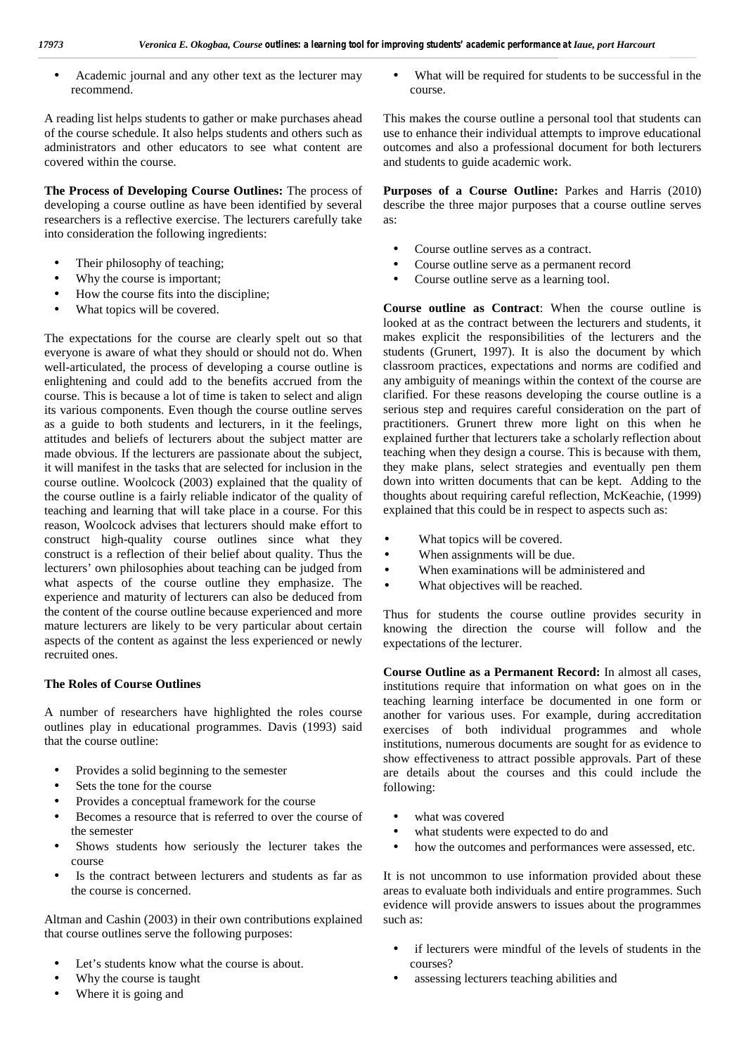Academic journal and any other text as the lecturer may recommend.

A reading list helps students to gather or make purchases ahead of the course schedule. It also helps students and others such as administrators and other educators to see what content are covered within the course.

**The Process of Developing Course Outlines:** The process of developing a course outline as have been identified by several researchers is a reflective exercise. The lecturers carefully take into consideration the following ingredients:

- Their philosophy of teaching;
- Why the course is important;
- How the course fits into the discipline;
- What topics will be covered.

The expectations for the course are clearly spelt out so that everyone is aware of what they should or should not do. When well-articulated, the process of developing a course outline is enlightening and could add to the benefits accrued from the course. This is because a lot of time is taken to select and align its various components. Even though the course outline serves as a guide to both students and lecturers, in it the feelings, attitudes and beliefs of lecturers about the subject matter are made obvious. If the lecturers are passionate about the subject, it will manifest in the tasks that are selected for inclusion in the course outline. Woolcock (2003) explained that the quality of the course outline is a fairly reliable indicator of the quality of teaching and learning that will take place in a course. For this reason, Woolcock advises that lecturers should make effort to construct high-quality course outlines since what they construct is a reflection of their belief about quality. Thus the lecturers' own philosophies about teaching can be judged from what aspects of the course outline they emphasize. The experience and maturity of lecturers can also be deduced from the content of the course outline because experienced and more mature lecturers are likely to be very particular about certain aspects of the content as against the less experienced or newly recruited ones.

## **The Roles of Course Outlines**

A number of researchers have highlighted the roles course outlines play in educational programmes. Davis (1993) said that the course outline:

- Provides a solid beginning to the semester
- Sets the tone for the course
- Provides a conceptual framework for the course
- Becomes a resource that is referred to over the course of the semester
- Shows students how seriously the lecturer takes the course
- Is the contract between lecturers and students as far as the course is concerned.

Altman and Cashin (2003) in their own contributions explained that course outlines serve the following purposes:

- Let's students know what the course is about.
- Why the course is taught
- Where it is going and

 What will be required for students to be successful in the course.

This makes the course outline a personal tool that students can use to enhance their individual attempts to improve educational outcomes and also a professional document for both lecturers and students to guide academic work.

**Purposes of a Course Outline:** Parkes and Harris (2010) describe the three major purposes that a course outline serves as:

- Course outline serves as a contract.
- Course outline serve as a permanent record
- Course outline serve as a learning tool.

**Course outline as Contract**: When the course outline is looked at as the contract between the lecturers and students, it makes explicit the responsibilities of the lecturers and the students (Grunert, 1997). It is also the document by which classroom practices, expectations and norms are codified and any ambiguity of meanings within the context of the course are clarified. For these reasons developing the course outline is a serious step and requires careful consideration on the part of practitioners. Grunert threw more light on this when he explained further that lecturers take a scholarly reflection about teaching when they design a course. This is because with them, they make plans, select strategies and eventually pen them down into written documents that can be kept. Adding to the thoughts about requiring careful reflection, McKeachie, (1999) explained that this could be in respect to aspects such as:

 What topics will be covered. When assignments will be due. When examinations will be administered and What objectives will be reached.

Thus for students the course outline provides security in knowing the direction the course will follow and the expectations of the lecturer.

**Course Outline as a Permanent Record:** In almost all cases, institutions require that information on what goes on in the teaching learning interface be documented in one form or another for various uses. For example, during accreditation exercises of both individual programmes and whole institutions, numerous documents are sought for as evidence to show effectiveness to attract possible approvals. Part of these are details about the courses and this could include the following:

- what was covered
- what students were expected to do and
- how the outcomes and performances were assessed, etc.

It is not uncommon to use information provided about these areas to evaluate both individuals and entire programmes. Such evidence will provide answers to issues about the programmes such as:

- if lecturers were mindful of the levels of students in the courses?
- assessing lecturers teaching abilities and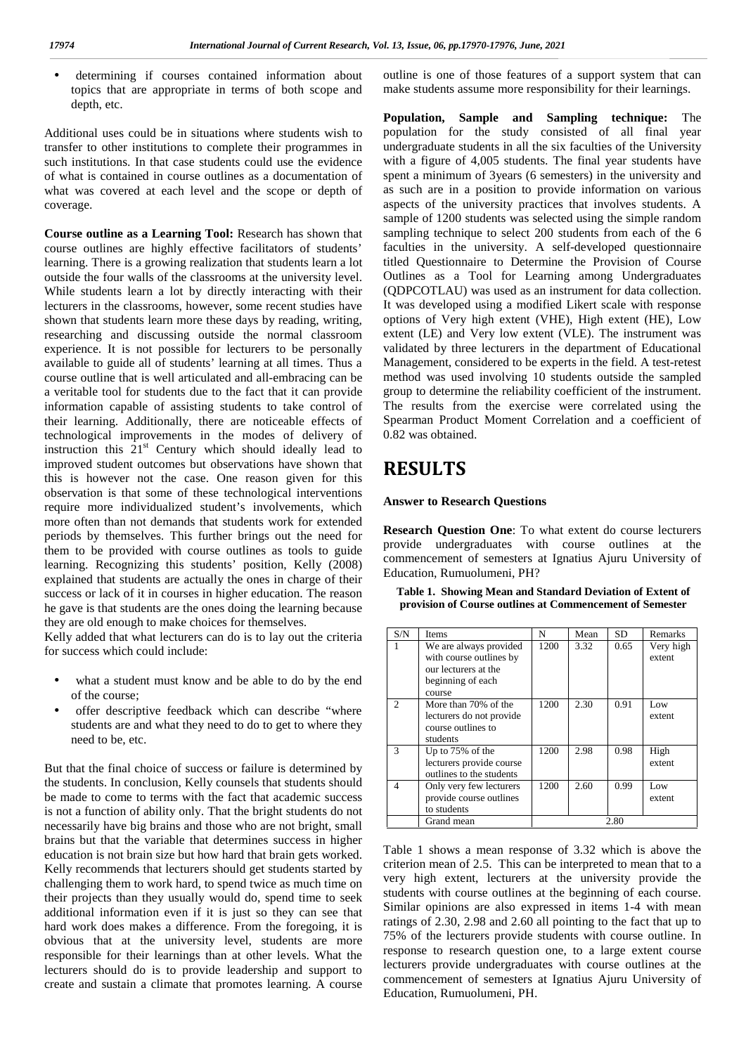determining if courses contained information about topics that are appropriate in terms of both scope and depth, etc.

Additional uses could be in situations where students wish to transfer to other institutions to complete their programmes in such institutions. In that case students could use the evidence of what is contained in course outlines as a documentation of what was covered at each level and the scope or depth of coverage.

**Course outline as a Learning Tool:** Research has shown that course outlines are highly effective facilitators of students' learning. There is a growing realization that students learn a lot outside the four walls of the classrooms at the university level. While students learn a lot by directly interacting with their lecturers in the classrooms, however, some recent studies have shown that students learn more these days by reading, writing, researching and discussing outside the normal classroom experience. It is not possible for lecturers to be personally available to guide all of students' learning at all times. Thus a course outline that is well articulated and all-embracing can be a veritable tool for students due to the fact that it can provide information capable of assisting students to take control of their learning. Additionally, there are noticeable effects of technological improvements in the modes of delivery of instruction this  $21<sup>st</sup>$  Century which should ideally lead to improved student outcomes but observations have shown that this is however not the case. One reason given for this observation is that some of these technological interventions require more individualized student's involvements, which more often than not demands that students work for extended periods by themselves. This further brings out the need for them to be provided with course outlines as tools to guide learning. Recognizing this students' position, Kelly (2008) explained that students are actually the ones in charge of their success or lack of it in courses in higher education. The reason he gave is that students are the ones doing the learning because they are old enough to make choices for themselves.

Kelly added that what lecturers can do is to lay out the criteria for success which could include:

- what a student must know and be able to do by the end of the course;
- offer descriptive feedback which can describe "where students are and what they need to do to get to where they need to be, etc.

But that the final choice of success or failure is determined by the students. In conclusion, Kelly counsels that students should be made to come to terms with the fact that academic success is not a function of ability only. That the bright students do not necessarily have big brains and those who are not bright, small brains but that the variable that determines success in higher education is not brain size but how hard that brain gets worked. Kelly recommends that lecturers should get students started by challenging them to work hard, to spend twice as much time on their projects than they usually would do, spend time to seek additional information even if it is just so they can see that hard work does makes a difference. From the foregoing, it is obvious that at the university level, students are more responsible for their learnings than at other levels. What the lecturers should do is to provide leadership and support to create and sustain a climate that promotes learning. A course

outline is one of those features of a support system that can make students assume more responsibility for their learnings.

**Population, Sample and Sampling technique:** The population for the study consisted of all final year undergraduate students in all the six faculties of the University with a figure of 4,005 students. The final year students have spent a minimum of 3years (6 semesters) in the university and as such are in a position to provide information on various aspects of the university practices that involves students. A sample of 1200 students was selected using the simple random sampling technique to select 200 students from each of the 6 faculties in the university. A self-developed questionnaire titled Questionnaire to Determine the Provision of Course Outlines as a Tool for Learning among Undergraduates (QDPCOTLAU) was used as an instrument for data collection. It was developed using a modified Likert scale with response options of Very high extent (VHE), High extent (HE), Low extent (LE) and Very low extent (VLE). The instrument was validated by three lecturers in the department of Educational Management, considered to be experts in the field. A test-retest method was used involving 10 students outside the sampled group to determine the reliability coefficient of the instrument. The results from the exercise were correlated using the Spearman Product Moment Correlation and a coefficient of 0.82 was obtained.

# **RESULTS**

#### **Answer to Research Questions**

**Research Question One**: To what extent do course lecturers provide undergraduates with course outlines at the commencement of semesters at Ignatius Ajuru University of Education, Rumuolumeni, PH?

**Table 1. Showing Mean and Standard Deviation of Extent of provision of Course outlines at Commencement of Semester**

| S/N            | <b>Items</b>                                                                                             | N    | Mean | SD.  | <b>Remarks</b>      |
|----------------|----------------------------------------------------------------------------------------------------------|------|------|------|---------------------|
| 1              | We are always provided<br>with course outlines by<br>our lecturers at the<br>beginning of each<br>course | 1200 | 3.32 | 0.65 | Very high<br>extent |
| $\mathfrak{D}$ | More than 70% of the<br>lecturers do not provide<br>course outlines to<br>students                       | 1200 | 2.30 | 0.91 | Low<br>extent       |
| $\mathcal{R}$  | Up to 75% of the<br>lecturers provide course<br>outlines to the students                                 | 1200 | 2.98 | 0.98 | High<br>extent      |
| $\overline{4}$ | Only very few lecturers<br>provide course outlines<br>to students                                        | 1200 | 2.60 | 0.99 | Low<br>extent       |
|                | Grand mean                                                                                               |      |      | 2.80 |                     |

Table 1 shows a mean response of 3.32 which is above the criterion mean of 2.5. This can be interpreted to mean that to a very high extent, lecturers at the university provide the students with course outlines at the beginning of each course. Similar opinions are also expressed in items 1-4 with mean ratings of 2.30, 2.98 and 2.60 all pointing to the fact that up to 75% of the lecturers provide students with course outline. In response to research question one, to a large extent course lecturers provide undergraduates with course outlines at the commencement of semesters at Ignatius Ajuru University of Education, Rumuolumeni, PH.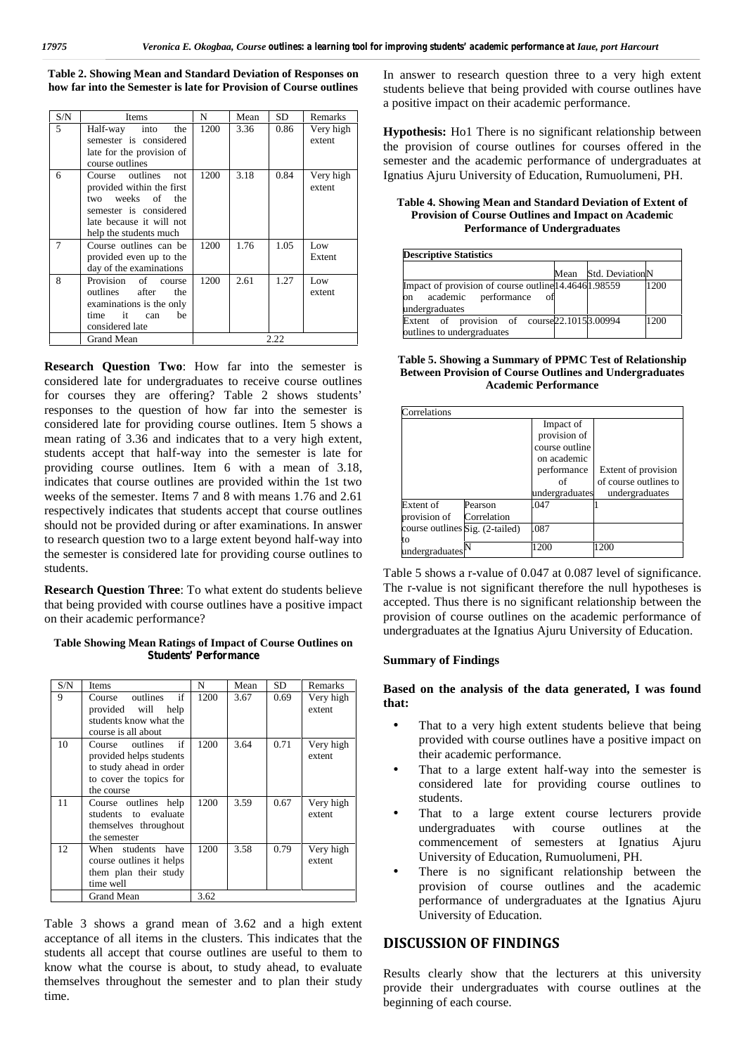**Table 2. Showing Mean and Standard Deviation of Responses on how far into the Semester is late for Provision of Course outlines**

| S/N | Items                                                                                                                                                          | N    | Mean | SD   | Remarks             |
|-----|----------------------------------------------------------------------------------------------------------------------------------------------------------------|------|------|------|---------------------|
| 5   | Half-way<br>into<br>the<br>semester is considered<br>late for the provision of<br>course outlines                                                              | 1200 | 3.36 | 0.86 | Very high<br>extent |
| 6   | Course outlines<br>not.<br>provided within the first<br>weeks of<br>the<br>two<br>semester is considered<br>late because it will not<br>help the students much | 1200 | 3.18 | 0.84 | Very high<br>extent |
| 7   | Course outlines can be<br>provided even up to the<br>day of the examinations                                                                                   | 1200 | 1.76 | 1.05 | Low<br>Extent       |
| 8   | Provision<br>of<br>course<br>outlines<br>after<br>the<br>examinations is the only<br>time<br>it<br>be<br>can<br>considered late                                | 1200 | 2.61 | 1.27 | Low<br>extent       |
|     | Grand Mean                                                                                                                                                     |      |      | 2.22 |                     |

**Research Question Two**: How far into the semester is considered late for undergraduates to receive course outlines for courses they are offering? Table 2 shows students' responses to the question of how far into the semester is considered late for providing course outlines. Item 5 shows a mean rating of 3.36 and indicates that to a very high extent, students accept that half-way into the semester is late for providing course outlines. Item 6 with a mean of 3.18, indicates that course outlines are provided within the 1st two weeks of the semester. Items 7 and 8 with means 1.76 and 2.61 respectively indicates that students accept that course outlines should not be provided during or after examinations. In answer to research question two to a large extent beyond half-way into the semester is considered late for providing course outlines to students.

**Research Question Three**: To what extent do students believe that being provided with course outlines have a positive impact on their academic performance?

#### **Table Showing Mean Ratings of Impact of Course Outlines on Students' Performance**

| S/N | <b>Items</b>                                                                                                         | N    | Mean | SD.  | Remarks             |  |
|-----|----------------------------------------------------------------------------------------------------------------------|------|------|------|---------------------|--|
| 9   | if<br>outlines<br>Course<br>provided will<br>help                                                                    | 1200 | 3.67 | 0.69 | Very high<br>extent |  |
|     | students know what the<br>course is all about                                                                        |      |      |      |                     |  |
| 10  | if<br>Course outlines<br>provided helps students<br>to study ahead in order<br>to cover the topics for<br>the course | 1200 | 3.64 | 0.71 | Very high<br>extent |  |
| 11  | Course outlines help<br>students to evaluate<br>themselves throughout<br>the semester                                | 1200 | 3.59 | 0.67 | Very high<br>extent |  |
| 12  | When students<br>have<br>course outlines it helps<br>them plan their study<br>time well                              | 1200 | 3.58 | 0.79 | Very high<br>extent |  |
|     | Grand Mean                                                                                                           | 3.62 |      |      |                     |  |

Table 3 shows a grand mean of 3.62 and a high extent acceptance of all items in the clusters. This indicates that the students all accept that course outlines are useful to them to know what the course is about, to study ahead, to evaluate themselves throughout the semester and to plan their study time.

In answer to research question three to a very high extent students believe that being provided with course outlines have a positive impact on their academic performance.

**Hypothesis:** Ho1 There is no significant relationship between the provision of course outlines for courses offered in the semester and the academic performance of undergraduates at Ignatius Ajuru University of Education, Rumuolumeni, PH.

#### **Table 4. Showing Mean and Standard Deviation of Extent of Provision of Course Outlines and Impact on Academic Performance of Undergraduates**

| <b>Descriptive Statistics</b>                                                                                 |  |                      |      |
|---------------------------------------------------------------------------------------------------------------|--|----------------------|------|
|                                                                                                               |  | Mean Std. DeviationN |      |
| Impact of provision of course outline 14.46461.98559<br>academic performance<br>- of<br>lon<br>undergraduates |  |                      | 1200 |
| Extent of provision of course 22.1015 3.00994<br>outlines to undergraduates                                   |  |                      | 1200 |

**Table 5. Showing a Summary of PPMC Test of Relationship Between Provision of Course Outlines and Undergraduates Academic Performance**

| Correlations                    |             |                |                       |
|---------------------------------|-------------|----------------|-----------------------|
|                                 |             | Impact of      |                       |
|                                 |             | provision of   |                       |
|                                 |             | course outline |                       |
|                                 |             | on academic    |                       |
|                                 |             | performance    | Extent of provision   |
|                                 |             | of             | of course outlines to |
|                                 |             | undergraduates | undergraduates        |
| Extent of                       | Pearson     | .047           |                       |
| provision of                    | Correlation |                |                       |
| course outlines Sig. (2-tailed) |             | .087           |                       |
| to                              |             |                |                       |
| undergraduates                  |             | 1200           | 1200                  |

Table 5 shows a r-value of 0.047 at 0.087 level of significance. The r-value is not significant therefore the null hypotheses is accepted. Thus there is no significant relationship between the provision of course outlines on the academic performance of undergraduates at the Ignatius Ajuru University of Education.

#### **Summary of Findings**

### **Based on the analysis of the data generated, I was found that:**

- That to a very high extent students believe that being provided with course outlines have a positive impact on their academic performance.
- That to a large extent half-way into the semester is considered late for providing course outlines to students.
- That to a large extent course lecturers provide undergraduates with course outlines at the commencement of semesters at Ignatius Ajuru University of Education, Rumuolumeni, PH.
- There is no significant relationship between the provision of course outlines and the academic performance of undergraduates at the Ignatius Ajuru University of Education.

## **DISCUSSION OF FINDINGS**

Results clearly show that the lecturers at this university provide their undergraduates with course outlines at the beginning of each course.